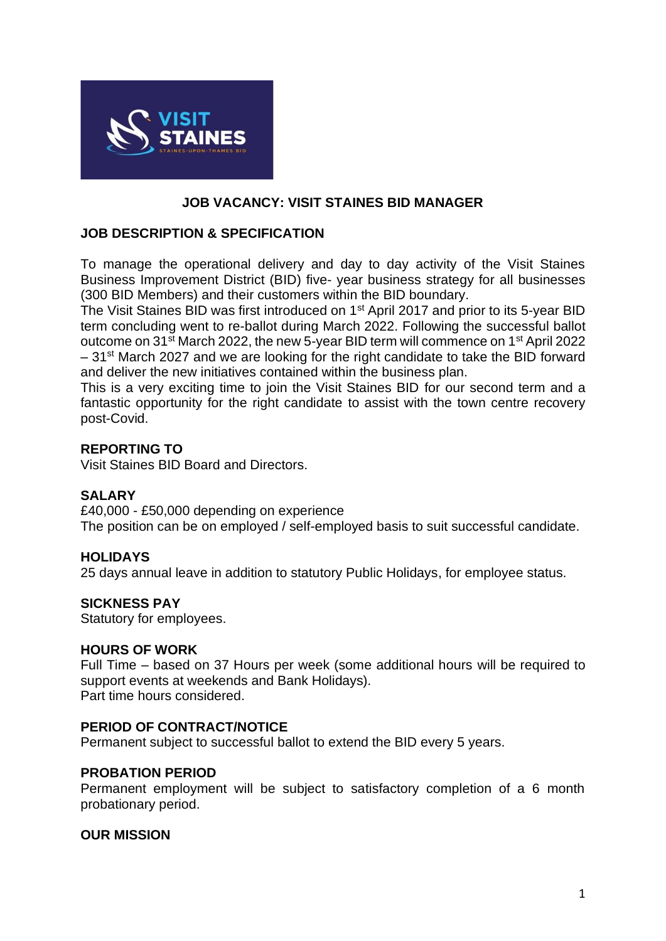

## **JOB VACANCY: VISIT STAINES BID MANAGER**

## **JOB DESCRIPTION & SPECIFICATION**

To manage the operational delivery and day to day activity of the Visit Staines Business Improvement District (BID) five- year business strategy for all businesses (300 BID Members) and their customers within the BID boundary.

The Visit Staines BID was first introduced on 1<sup>st</sup> April 2017 and prior to its 5-year BID term concluding went to re-ballot during March 2022. Following the successful ballot outcome on 31st March 2022, the new 5-year BID term will commence on 1st April 2022  $-31$ <sup>st</sup> March 2027 and we are looking for the right candidate to take the BID forward and deliver the new initiatives contained within the business plan.

This is a very exciting time to join the Visit Staines BID for our second term and a fantastic opportunity for the right candidate to assist with the town centre recovery post-Covid.

### **REPORTING TO**

Visit Staines BID Board and Directors.

## **SALARY**

£40,000 - £50,000 depending on experience The position can be on employed / self-employed basis to suit successful candidate.

### **HOLIDAYS**

25 days annual leave in addition to statutory Public Holidays, for employee status.

### **SICKNESS PAY**

Statutory for employees.

### **HOURS OF WORK**

Full Time – based on 37 Hours per week (some additional hours will be required to support events at weekends and Bank Holidays). Part time hours considered.

### **PERIOD OF CONTRACT/NOTICE**

Permanent subject to successful ballot to extend the BID every 5 years.

### **PROBATION PERIOD**

Permanent employment will be subject to satisfactory completion of a 6 month probationary period.

### **OUR MISSION**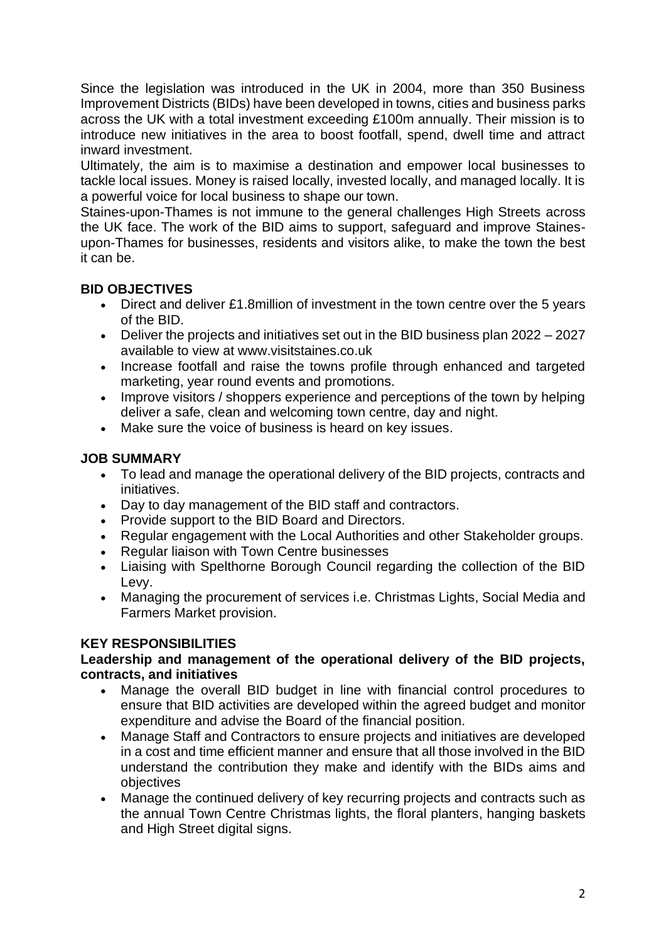Since the legislation was introduced in the UK in 2004, more than 350 Business Improvement Districts (BIDs) have been developed in towns, cities and business parks across the UK with a total investment exceeding £100m annually. Their mission is to introduce new initiatives in the area to boost footfall, spend, dwell time and attract inward investment.

Ultimately, the aim is to maximise a destination and empower local businesses to tackle local issues. Money is raised locally, invested locally, and managed locally. It is a powerful voice for local business to shape our town.

Staines-upon-Thames is not immune to the general challenges High Streets across the UK face. The work of the BID aims to support, safeguard and improve Stainesupon-Thames for businesses, residents and visitors alike, to make the town the best it can be.

# **BID OBJECTIVES**

- Direct and deliver £1.8million of investment in the town centre over the 5 years of the BID.
- Deliver the projects and initiatives set out in the BID business plan 2022 2027 available to view at www.visitstaines.co.uk
- Increase footfall and raise the towns profile through enhanced and targeted marketing, year round events and promotions.
- Improve visitors / shoppers experience and perceptions of the town by helping deliver a safe, clean and welcoming town centre, day and night.
- Make sure the voice of business is heard on key issues.

# **JOB SUMMARY**

- To lead and manage the operational delivery of the BID projects, contracts and initiatives.
- Day to day management of the BID staff and contractors.
- Provide support to the BID Board and Directors.
- Regular engagement with the Local Authorities and other Stakeholder groups.
- Regular liaison with Town Centre businesses
- Liaising with Spelthorne Borough Council regarding the collection of the BID Levy.
- Managing the procurement of services i.e. Christmas Lights, Social Media and Farmers Market provision.

## **KEY RESPONSIBILITIES**

## **Leadership and management of the operational delivery of the BID projects, contracts, and initiatives**

- Manage the overall BID budget in line with financial control procedures to ensure that BID activities are developed within the agreed budget and monitor expenditure and advise the Board of the financial position.
- Manage Staff and Contractors to ensure projects and initiatives are developed in a cost and time efficient manner and ensure that all those involved in the BID understand the contribution they make and identify with the BIDs aims and objectives
- Manage the continued delivery of key recurring projects and contracts such as the annual Town Centre Christmas lights, the floral planters, hanging baskets and High Street digital signs.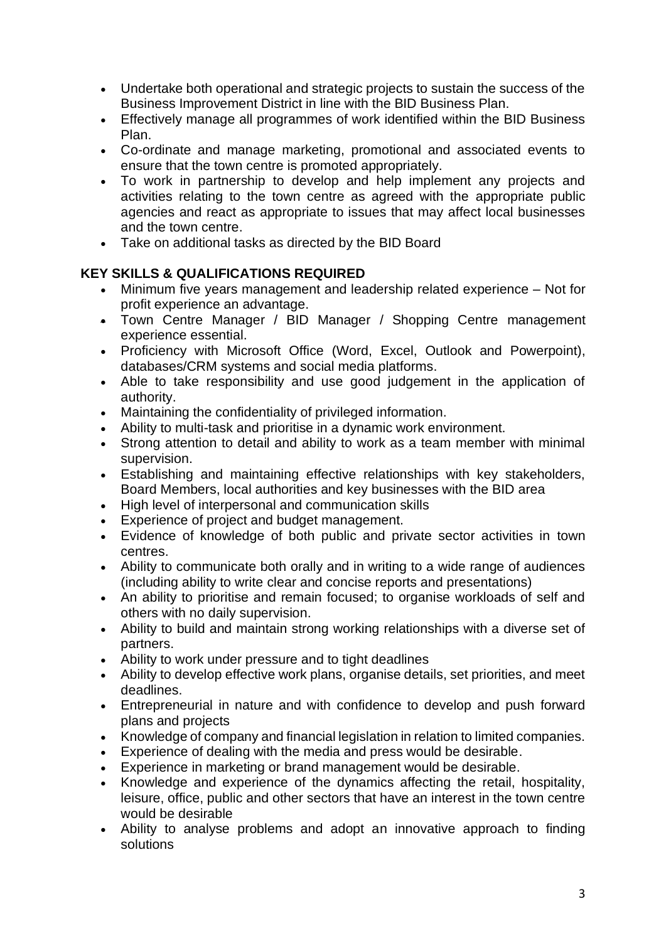- Undertake both operational and strategic projects to sustain the success of the Business Improvement District in line with the BID Business Plan.
- Effectively manage all programmes of work identified within the BID Business Plan.
- Co-ordinate and manage marketing, promotional and associated events to ensure that the town centre is promoted appropriately.
- To work in partnership to develop and help implement any projects and activities relating to the town centre as agreed with the appropriate public agencies and react as appropriate to issues that may affect local businesses and the town centre.
- Take on additional tasks as directed by the BID Board

## **KEY SKILLS & QUALIFICATIONS REQUIRED**

- Minimum five years management and leadership related experience Not for profit experience an advantage.
- Town Centre Manager / BID Manager / Shopping Centre management experience essential.
- Proficiency with Microsoft Office (Word, Excel, Outlook and Powerpoint), databases/CRM systems and social media platforms.
- Able to take responsibility and use good judgement in the application of authority.
- Maintaining the confidentiality of privileged information.
- Ability to multi-task and prioritise in a dynamic work environment.
- Strong attention to detail and ability to work as a team member with minimal supervision.
- Establishing and maintaining effective relationships with key stakeholders, Board Members, local authorities and key businesses with the BID area
- High level of interpersonal and communication skills
- Experience of project and budget management.
- Evidence of knowledge of both public and private sector activities in town centres.
- Ability to communicate both orally and in writing to a wide range of audiences (including ability to write clear and concise reports and presentations)
- An ability to prioritise and remain focused; to organise workloads of self and others with no daily supervision.
- Ability to build and maintain strong working relationships with a diverse set of partners.
- Ability to work under pressure and to tight deadlines
- Ability to develop effective work plans, organise details, set priorities, and meet deadlines.
- Entrepreneurial in nature and with confidence to develop and push forward plans and projects
- Knowledge of company and financial legislation in relation to limited companies.
- Experience of dealing with the media and press would be desirable.
- Experience in marketing or brand management would be desirable.
- Knowledge and experience of the dynamics affecting the retail, hospitality, leisure, office, public and other sectors that have an interest in the town centre would be desirable
- Ability to analyse problems and adopt an innovative approach to finding solutions